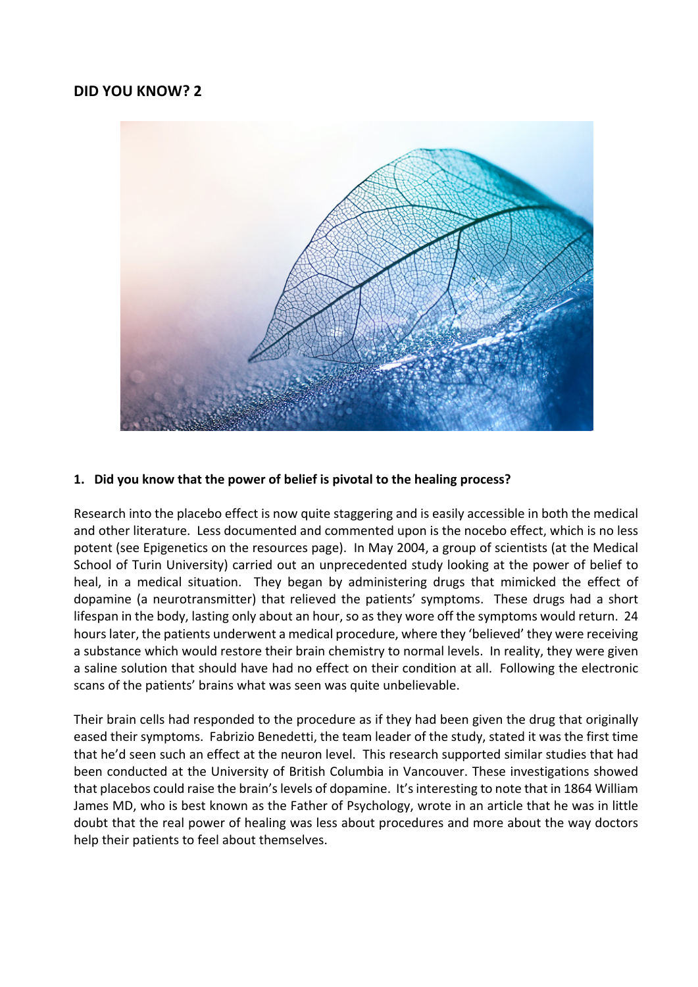# **DID YOU KNOW? 2**



#### **1. Did you know that the power of belief is pivotal to the healing process?**

Research into the placebo effect is now quite staggering and is easily accessible in both the medical and other literature. Less documented and commented upon is the nocebo effect, which is no less potent (see Epigenetics on the resources page). In May 2004, a group of scientists (at the Medical School of Turin University) carried out an unprecedented study looking at the power of belief to heal, in a medical situation. They began by administering drugs that mimicked the effect of dopamine (a neurotransmitter) that relieved the patients' symptoms. These drugs had a short lifespan in the body, lasting only about an hour, so as they wore off the symptoms would return. 24 hours later, the patients underwent a medical procedure, where they 'believed' they were receiving a substance which would restore their brain chemistry to normal levels. In reality, they were given a saline solution that should have had no effect on their condition at all. Following the electronic scans of the patients' brains what was seen was quite unbelievable.

Their brain cells had responded to the procedure as if they had been given the drug that originally eased their symptoms. Fabrizio Benedetti, the team leader of the study, stated it was the first time that he'd seen such an effect at the neuron level. This research supported similar studies that had been conducted at the University of British Columbia in Vancouver. These investigations showed that placebos could raise the brain's levels of dopamine. It's interesting to note that in 1864 William James MD, who is best known as the Father of Psychology, wrote in an article that he was in little doubt that the real power of healing was less about procedures and more about the way doctors help their patients to feel about themselves.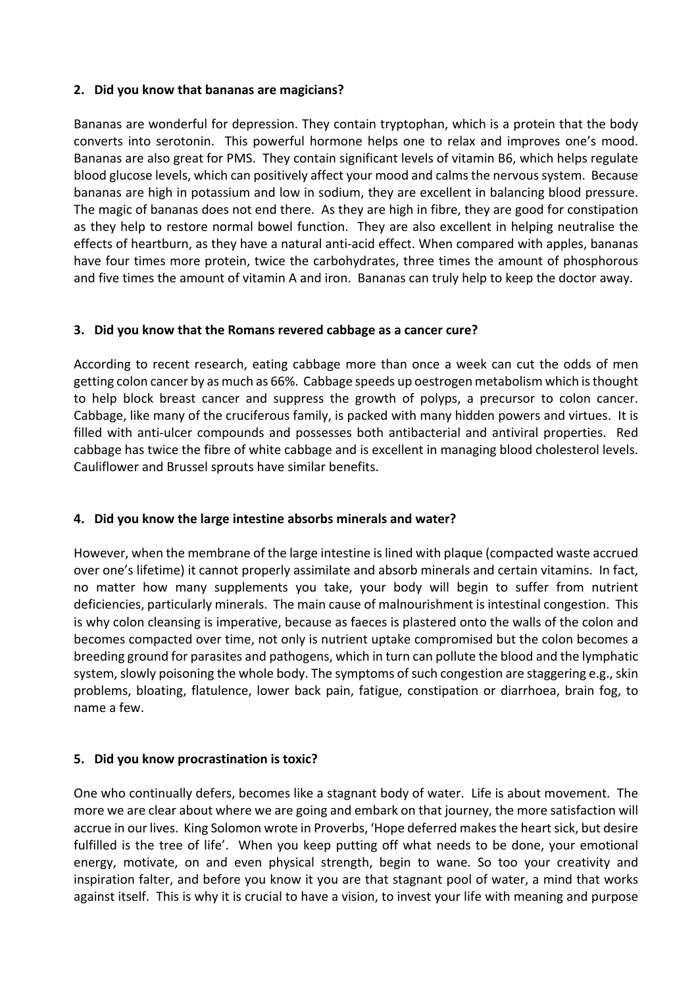### **2. Did you know that bananas are magicians?**

Bananas are wonderful for depression. They contain tryptophan, which is a protein that the body converts into serotonin. This powerful hormone helps one to relax and improves one's mood. Bananas are also great for PMS. They contain significant levels of vitamin B6, which helps regulate blood glucose levels, which can positively affect your mood and calms the nervous system. Because bananas are high in potassium and low in sodium, they are excellent in balancing blood pressure. The magic of bananas does not end there. As they are high in fibre, they are good for constipation as they help to restore normal bowel function. They are also excellent in helping neutralise the effects of heartburn, as they have a natural anti-acid effect. When compared with apples, bananas have four times more protein, twice the carbohydrates, three times the amount of phosphorous and five times the amount of vitamin A and iron. Bananas can truly help to keep the doctor away.

#### **3. Did you know that the Romans revered cabbage as a cancer cure?**

According to recent research, eating cabbage more than once a week can cut the odds of men getting colon cancer by as much as 66%. Cabbage speeds up oestrogen metabolism which is thought to help block breast cancer and suppress the growth of polyps, a precursor to colon cancer. Cabbage, like many of the cruciferous family, is packed with many hidden powers and virtues. It is filled with anti-ulcer compounds and possesses both antibacterial and antiviral properties. Red cabbage has twice the fibre of white cabbage and is excellent in managing blood cholesterol levels. Cauliflower and Brussel sprouts have similar benefits.

### **4. Did you know the large intestine absorbs minerals and water?**

However, when the membrane of the large intestine is lined with plaque (compacted waste accrued over one's lifetime) it cannot properly assimilate and absorb minerals and certain vitamins. In fact, no matter how many supplements you take, your body will begin to suffer from nutrient deficiencies, particularly minerals. The main cause of malnourishment is intestinal congestion. This is why colon cleansing is imperative, because as faeces is plastered onto the walls of the colon and becomes compacted over time, not only is nutrient uptake compromised but the colon becomes a breeding ground for parasites and pathogens, which in turn can pollute the blood and the lymphatic system, slowly poisoning the whole body. The symptoms of such congestion are staggering e.g., skin problems, bloating, flatulence, lower back pain, fatigue, constipation or diarrhoea, brain fog, to name a few.

### **5. Did you know procrastination is toxic?**

One who continually defers, becomes like a stagnant body of water. Life is about movement. The more we are clear about where we are going and embark on that journey, the more satisfaction will accrue in our lives. King Solomon wrote in Proverbs, 'Hope deferred makes the heart sick, but desire fulfilled is the tree of life'. When you keep putting off what needs to be done, your emotional energy, motivate, on and even physical strength, begin to wane. So too your creativity and inspiration falter, and before you know it you are that stagnant pool of water, a mind that works against itself. This is why it is crucial to have a vision, to invest your life with meaning and purpose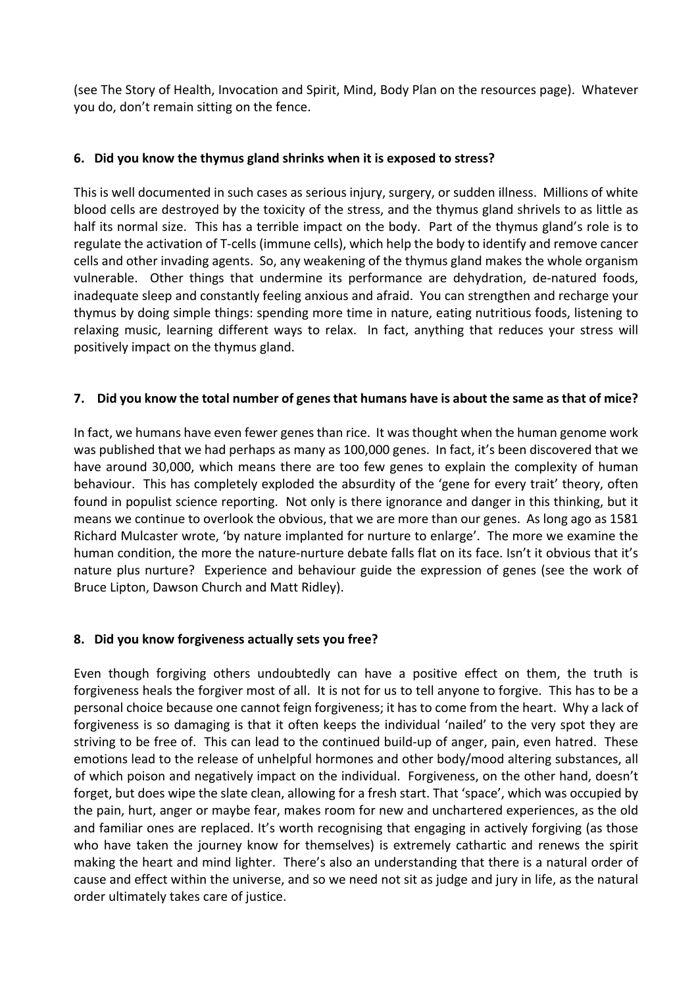(see The Story of Health, Invocation and Spirit, Mind, Body Plan on the resources page). Whatever you do, don't remain sitting on the fence.

### **6. Did you know the thymus gland shrinks when it is exposed to stress?**

This is well documented in such cases as serious injury, surgery, or sudden illness. Millions of white blood cells are destroyed by the toxicity of the stress, and the thymus gland shrivels to as little as half its normal size. This has a terrible impact on the body. Part of the thymus gland's role is to regulate the activation of T-cells (immune cells), which help the body to identify and remove cancer cells and other invading agents. So, any weakening of the thymus gland makes the whole organism vulnerable. Other things that undermine its performance are dehydration, de-natured foods, inadequate sleep and constantly feeling anxious and afraid. You can strengthen and recharge your thymus by doing simple things: spending more time in nature, eating nutritious foods, listening to relaxing music, learning different ways to relax. In fact, anything that reduces your stress will positively impact on the thymus gland.

## **7. Did you know the total number of genes that humans have is about the same as that of mice?**

In fact, we humans have even fewer genes than rice. It was thought when the human genome work was published that we had perhaps as many as 100,000 genes. In fact, it's been discovered that we have around 30,000, which means there are too few genes to explain the complexity of human behaviour. This has completely exploded the absurdity of the 'gene for every trait' theory, often found in populist science reporting. Not only is there ignorance and danger in this thinking, but it means we continue to overlook the obvious, that we are more than our genes. As long ago as 1581 Richard Mulcaster wrote, 'by nature implanted for nurture to enlarge'. The more we examine the human condition, the more the nature-nurture debate falls flat on its face. Isn't it obvious that it's nature plus nurture? Experience and behaviour guide the expression of genes (see the work of Bruce Lipton, Dawson Church and Matt Ridley).

### **8. Did you know forgiveness actually sets you free?**

Even though forgiving others undoubtedly can have a positive effect on them, the truth is forgiveness heals the forgiver most of all. It is not for us to tell anyone to forgive. This has to be a personal choice because one cannot feign forgiveness; it has to come from the heart. Why a lack of forgiveness is so damaging is that it often keeps the individual 'nailed' to the very spot they are striving to be free of. This can lead to the continued build-up of anger, pain, even hatred. These emotions lead to the release of unhelpful hormones and other body/mood altering substances, all of which poison and negatively impact on the individual. Forgiveness, on the other hand, doesn't forget, but does wipe the slate clean, allowing for a fresh start. That 'space', which was occupied by the pain, hurt, anger or maybe fear, makes room for new and unchartered experiences, as the old and familiar ones are replaced. It's worth recognising that engaging in actively forgiving (as those who have taken the journey know for themselves) is extremely cathartic and renews the spirit making the heart and mind lighter. There's also an understanding that there is a natural order of cause and effect within the universe, and so we need not sit as judge and jury in life, as the natural order ultimately takes care of justice.